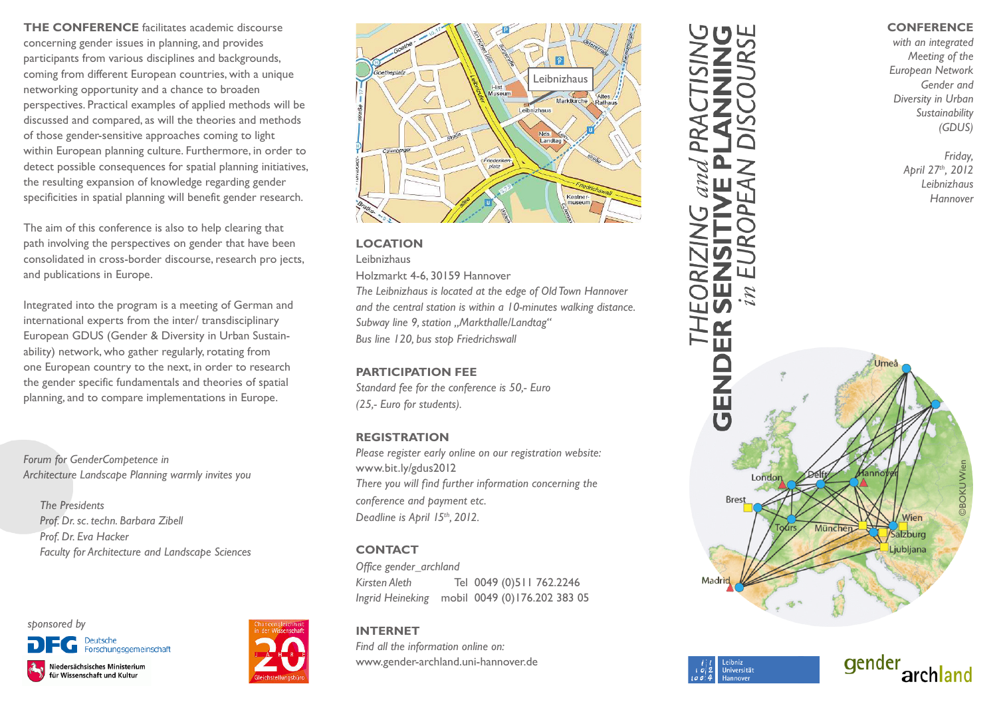**THE CONFERENCE** facilitates academic discourse concerning gender issues in planning, and provides participants from various disciplines and backgrounds, coming from different European countries, with a unique networking opportunity and a chance to broaden perspectives. Practical examples of applied methods will be discussed and compared, as will the theories and methods of those gender-sensitive approaches coming to light within European planning culture. Furthermore, in order to detect possible consequences for spatial planning initiatives, the resulting expansion of knowledge regarding gender specificities in spatial planning will benefit gender research.

The aim of this conference is also to help clearing that path involving the perspectives on gender that have been consolidated in cross-border discourse, research pro jects, and publications in Europe.

Integrated into the program is a meeting of German and international experts from the inter/ transdisciplinary European GDUS (Gender & Diversity in Urban Sustainability) network, who gather regularly, rotating from one European country to the next, in order to research the gender specific fundamentals and theories of spatial planning, and to compare implementations in Europe.

*Forum for GenderCompetence in Architecture Landscape Planning warmly invites you* 

 *The Presidents Prof. Dr. sc. techn. Barbara Zibell Prof. Dr. Eva Hacker Faculty for Architecture and Landscape Sciences*

## *sponsored by* Forschungsgemeinschaft Niedersächsisches Ministerium für Wissenschaft und Kultur





## **LOCATION**

Leibnizhaus

Holzmarkt 4-6, 30159 Hannover

*The Leibnizhaus is located at the edge of Old Town Hannover and the central station is within a 10-minutes walking distance. Subway line 9, station "Markthalle/Landtag" Bus line 120, bus stop Friedrichswall*

#### **PARTICIPATION FEE**

*Standard fee for the conference is 50,- Euro (25,- Euro for students).* 

## **REGISTRATION**

*Please register early online on our registration website:* www.bit.ly/gdus2012 *There you will find further information concerning the conference and payment etc. Deadline is April 15th, 2012.*

## **CONTACT**

*Office gender\_archland Kirsten Aleth* Tel 0049 (0)511 762.2246 *Ingrid Heineking* mobil 0049 (0)176.202 383 05

# **INTERNET**

*Find all the information online on:*  www.gender-archland.uni-hannover.de

# œ ш **NEC** London **Brest** Madri

Universität

# **CONFERENCE**

*with an integrated Meeting of the European Network Gender and Diversity in Urban Sustainability (GDUS)*

> *Friday, April 27th, 2012 Leibnizhaus Hannover*

> > ©BOKU Wien

Wien

archland

Salzburg Liubliana

qender

München

**BOKUWier**